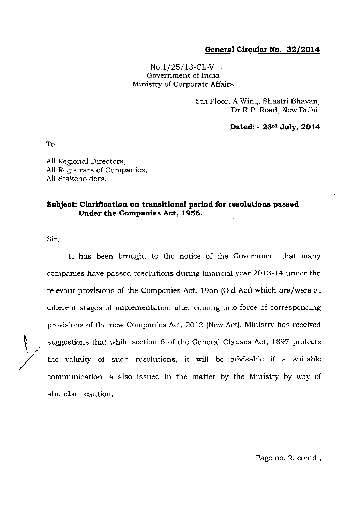## General Circular No. 32/2014

## $No.1/25/13-CL-V$ Government of lndia Ministry of Corporate Affairs

sth Floor, A Wing, Shastri Bhavan, Dr R.P. Road, New Delhi.

Dated: - 23td July, 2014

To

All Regional Directors, All Registrars of Companies, A11 Stakeholders.

## Subject: Clarification on transitional period for resolutions passed Under the Companies Act, 1956.

Sir,

,

It has been brought to the notice of the Government that many companies have passed resolutions during financial year 2ol3-14 under the relevant provisions of the Companies Act, 1956 (Old Act) which are/were at different stages of implementation after coming into force of corresponding provisions of the new Companies Act, 2013 (New Act). Ministry has received suggestions that while section 6 of the General Clauses Act, 1897 protects the validity of such resolutions, it will be advisable if a suitable communication is also issued in the matter by the Ministry by way of abundant caution.

Page no. 2, contd.,